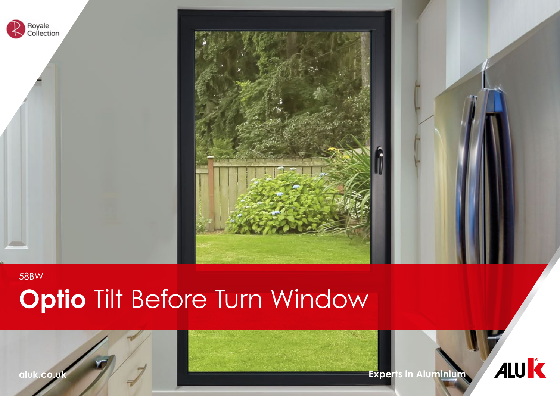

# **Optio** Tilt Before Turn Window

**aluk.co.uk Experts in Aluminium**